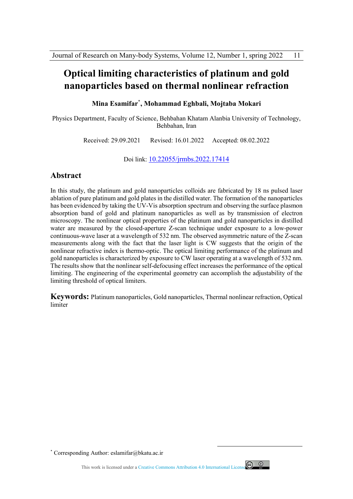# **Optical limiting characteristics of platinum and gold nanoparticles based on thermal nonlinear refraction**

**Mina Esamifar٭ , Mohammad Eghbali, Mojtaba Mokari** 

Physics Department, Faculty of Science, Behbahan Khatam Alanbia University of Technology, Behbahan, Iran

Received: 29.09.2021 Revised: 16.01.2022 Accepted: 08.02.2022

Doi link: 10.22055/jrmbs.2022.17414

## **Abstract**

In this study, the platinum and gold nanoparticles colloids are fabricated by 18 ns pulsed laser ablation of pure platinum and gold plates in the distilled water. The formation of the nanoparticles has been evidenced by taking the UV-Vis absorption spectrum and observing the surface plasmon absorption band of gold and platinum nanoparticles as well as by transmission of electron microscopy. The nonlinear optical properties of the platinum and gold nanoparticles in distilled water are measured by the closed-aperture Z-scan technique under exposure to a low-power continuous-wave laser at a wavelength of 532 nm. The observed asymmetric nature of the Z-scan measurements along with the fact that the laser light is CW suggests that the origin of the nonlinear refractive index is thermo-optic. The optical limiting performance of the platinum and gold nanoparticles is characterized by exposure to CW laser operating at a wavelength of 532 nm. The results show that the nonlinear self-defocusing effect increases the performance of the optical limiting. The engineering of the experimental geometry can accomplish the adjustability of the limiting threshold of optical limiters.

**Keywords:** Platinum nanoparticles, Gold nanoparticles, Thermal nonlinear refraction, Optical limiter

٭ Corresponding Author: eslamifar@bkatu.ac.ir

This work is licensed under a Creative Commons Attribution 4.0 International License



 $\overline{a}$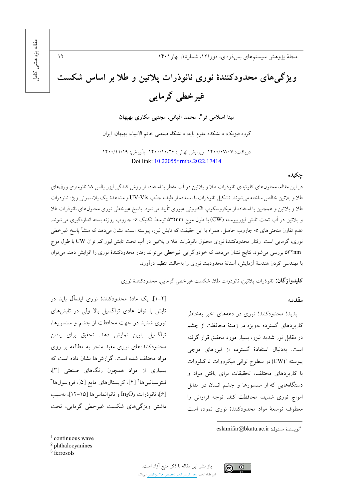$\gamma$ 

# ویژگی های محدودکنندهٔ نوری نانوذرات پلاتین و طلا بر اساس شکست غیر خطی گرمایی

مینا اسلامی فر\*، محمد اقبالی، مجتبی مکاری بهبهان

گروه فيزيک، دانشکده علوم يايه، دانشگاه صنعتي خاتم الانبياء، بهبهان، ايران

دريافت: ١۴٠٠/٠٧/٠٧ ويرايش نهائي: ١۴٠٠/١٠/٢۶ پذيرش: ١٢٠٠/١١/١٩ Doi link: 10.22055/jrmbs.2022.17414

### چکیده

در این مقاله، محلول های کلوئیدی نانوذرات طلا و پلاتین در آب مقطر با استفاده از روش کندگی لیزر پالس ۱۸ نانومتری ورق های طلا و يلاتين خالص ساخته مي شوند. تشكيل نانوذرات با استفاده از طيف جذب UV-Vis و مشاهدهٔ ييک پلاسموني ويژه نانوذرات طلا و پلاتین و همچنین با استفاده از میکروسکوپ الکترونی عبوری تأیید میشود. پاسخ غیرخطی نوری محلولهای نانوذرات طلا و پلاتین در آب تحت تابش لیزرپیوسته (CW) با طول موج ۵۳۲nm توسط تکنیک z- جاروب روزنه بسته اندازهگیری می شوند. عدم تقارن منحنیهای Z- جاروب حاصل، همراه با این حقیقت که تابش لیزر، پیوسته است، نشان میدهد که منشأ پاسخ غیرخطی نوری، گرمایی است. رفتار محدودکنندهٔ نوری محلول نانوذرات طلا و پلاتین در آب تحت تابش لیزر کم توان CW با طول موج ۵۳۲nm بررسی می شود. نتایج نشان میدهد که خودواگرایی غیرخطی می تواند رفتار محدودکنندهٔ نوری را افزایش دهد. می توان با مهندسی کردن هندسهٔ آزمایش، آستانهٔ محدودیت نوری را بهحالت تنظیم درآورد.

**کلیدواژگان:** نانوذرات پلاتین، نانوذرات طلا، شکست غیرخطی گرمایی، محدودکنندهٔ نوری

#### مقدمه

پدیدهٔ محدودکنندهٔ نوری در دهههای اخیر بهخاطر کاربردهای گسترده بهویژه در زمینهٔ محافظت از چشم در مقابل نور شدید لیزر، بسیار مورد تحقیق قرار گرفته است. بهدنبال استفادهٔ گسترده از لیزرهای موجی پیوسته '(CW) در سطوح توانی میکرووات تا کیلووات با کاربردهای مختلف، تحقیقات برای یافتن مواد و دستگاههایی که از سنسورها و چشم انسان در مقابل امواج نوری شدید، محافظت کند، توجه فراوانی را معطوف توسعهٔ مواد محدودکنندهٔ نوری نموده است

 $1$  continuous wave

[۲-۱]. یک مادهٔ محدودکنندهٔ نوری ایدهآل باید در

تابش با توان عادی تراگسیل بالا ولی در تابش های

نوری شدید در جهت محافظت از چشم و سنسورها،

تراگسیل پایین نمایش دهد. تحقیق برای یافتن

محدودکنندههای نوری مفید منجر به مطالعه بر روی

مواد مختلف شده است. گزارشها نشان داده است که

بسیاری از مواد همچون رنگهای صنعتی [۳]،

فيتوسيانين ها ٢ [٤]، كريستال هاي مايع [۵]، فروسول ها

[۶]، نانوذرات In2O3 و نانوالماس ها [۱۵-۱۲]، بهسبب

داشتن ویژگیهای شکست غیرخطی گرمایی، تحت

<sup>3</sup> ferrosols



 $\odot$   $\odot$ 

eslamifar@bkatu.ac.ir :أنو يسندة مسئول:

<sup>&</sup>lt;sup>2</sup> phthalocyanines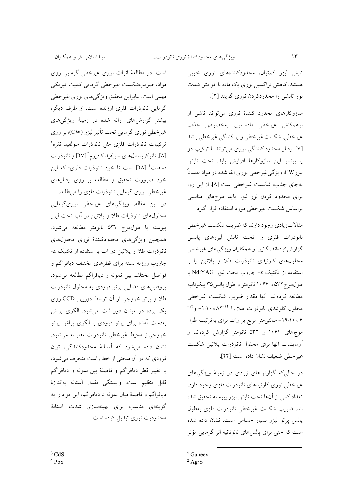تابش لیزر کم توان، محدودکنندههای نوری خوبی هستند. کاهش تراگسیل نوری یک ماده با افزایش شدت نور تابشی را محدودکردن نوری گویند [۲].

سازوكارهاى محدود كنندة نورى مى تواند ناشى از برهم كنش غيرخطى ماده-نور، بهخصوص جذب غیرخطی، شکست غیرخطی و پراکندگی غیرخطی باشد [۷]. رفتار محدود کنندگی نوری می تواند با ترکیب دو يا بيشتر اين سازوكارها افزايش يابد. تحت تابش ليزر CW، ويژگي غير خطي نوري القا شده در مواد عمدتاً بهجای جذب، شکست غیر خطی است [۸]. از این رو، برای محدود کردن نور لیزر باید طرحهای مناسبی براساس شكست غيرخطي مورد استفاده قرار گيرد.

مقالاتزیادی وجود دارند که ضریب شکست غیرخطی نانوذرات فلزى را تحت تابش ليزرهاى پالسى گزارش کردهاند. گانیو ' و همکاران ویژگیهای غیرخطی محلولهای کلوئیدی نانوذرات طلا و پلاتین را با استفاده از تکنیک Z- جاروب تحت لیزر Nd:YAG با طول موج۵۳۲ و ۱۰۶۴ نانومتر و طول پالس۵۳۵ پیکوثانیه مطالعه كردهاند. آنها مقدار ضريب شكست غيرخطي محلول کلوئیدی نانوذرات طلا را <sup>۱۴–</sup>۸۲×۱۰/۱۰ و <sup>۱۴–</sup> ۰×۱۹٫۱۰× سانتی متر مربع بر وات برای بهترتیب طول موجهای ۱۰۶۴ و ۵۳۲ نانومتر گزارش کردهاند و أزمايشات أنها براى محلول نانوذرات يلاتين شكست غير خطى ضعيف نشان داده است [٢٣].

در حالی که گزارش های زیادی در زمینهٔ ویژگی های غیرخطی نوری کلوئیدهای نانوذرات فلزی وجود دارد، تعداد كمي از آنها تحت تابش ليزر ييوسته تحقيق شده اند. ضريب شكست غيرخطي نانوذرات فلزي بهطول پالس پرتو لیزر بسیار حساس است. نشان داده شده است که حتبی برای پالسهای نانوثانیه اثر گرمایی مؤثر

 $1$  Ganeev

است. در مطالعهٔ اثرات نوری غیرخطی گرمایی روی مواد، ضریبشکست غیرخطی گرمایی کمیت فیزیکی مهمي است. بنابراين تحقيق ويژگيهاي نوري غيرخطي گرمایی نانوذرات فلزی ارزنده است. از طرف دیگر، بیشتر گزارش های ارائه شده در زمینهٔ ویژگی های غیرخطی نوری گرمایی تحت تأثیر لیزر (CW)، بر روی تركيبات نانوذرات فلزى مثل نانوذرات سولفيد نقره<sup>٢</sup> [٨]، نانوكريستالهاي سولفيد كاديوم ٢٧] و نانوذرات فسفات \* [٢٨] است تا خود نانوذرات فلزي؛ كه اين خود ضرورت تحقیق و مطالعه بر روی رفتارهای غیرخطی نوری گرمایی نانوذرات فلزی را می طلبد. در این مقاله، ویژگیهای غیرخطی نوریگرمایی محلولهای نانوذرات طلا و پلاتین در آب تحت لیزر پیوسته با طول.موج ۵۳۲ نانومتر مطالعه می شود. همچنین ویژگیهای محدودکنندهٔ نوری محلولهای نانوذرات طلا و یلاتین در آب با استفاده از تکنیک Z-جاروب روزنه بسته برای قطرهای مختلف دیافراگم و فواصل مختلف بين نمونه و ديافراگم مطالعه مي شود. پروفایل های فضایی پرتو فرودی به محلول نانوذرات طلا و پرتو خروجی از آن توسط دوربین CCD روی یک پرده در میدان دور ثبت می شود. الگوی پراش بهدست آمده برای پرتو فرودی با الگوی پراش پرتو خروجي|ز محيط غيرخطي نانوذرات مقايسه مي شود. نشان داده می شود که آستانهٔ محدودکنندگی، توان فرودي كه در أن منحنى از خط راست منحرف مى شود، با تغییر قطر دیافراگم و فاصلهٔ بین نمونه و دیافراگم قابل تنظيم است. وابستگي مقدار آستانه بهاندازهٔ دیافراگم و فاصلهٔ میان نمونه تا دیافراگم، این مواد را به گزینهای مناسب برای بهینهسازی شدت آستانهٔ محدودیت نوری تبدیل کرده است.

 $3 \text{ CdS}$  $4PbS$ 

 $2$  Ag<sub>2</sub>S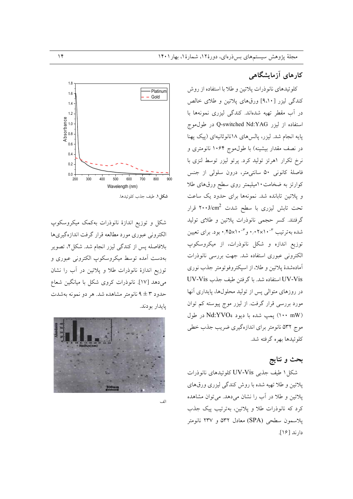# کارهای آزمایشگاهی

كلوئيدهاي نانوذرات پلاتين و طلابا استفاده از روش کندگی لیزر [۹،۱۰] ورقهای پلاتین و طلای خالص در آب مقطر تهیه شدهاند. کندگی لیزری نمونهها با استفاده از لیزر Q-switched Nd:YAG در طول موج پایه انجام شد. لیزر، پالسهای ۱۸نانوثانیهای (پیک پهنا در نصف مقدار بیشینه) با طول موج ۱۰۶۴ نانومتری و نرخ تکرار اهرتز تولید کرد. پرتو لیزر توسط لنزی با فاصلهٔ کانونی ۵۰ سانتی متر، درون سلولی از جنس کوارتز به ضخامت ۱۰میلیمتر روی سطح ورقهای طلا و پلاتین تابانده شد. نمونهها برای حدود یک ساعت تحت تابش لیزری با سطح شدت ۲۰۰J/cm<sup>2</sup> قرار گرفتند. کسر حجمی نانوذرات پلاتین و طلای تولید شده بهتر تیب ۳-۰٫۰۲×۰٫۰ و ۳-۰٫۴۵×۰٫۴ بود. برای تعیین توزیع اندازه و شکل نانوذرات، از میکروسکوپ الكتروني عبوري استفاده شد. جهت بررسي نانوذرات آمادهشدهٔ پلاتین و طلا، از اسپکتروفوتومتر جذب نوری UV-Vis استفاده شد. با گرفتن طيف جذب UV-Vis در روزهای متوالی پس از تولید محلولها، پایداری آنها مورد بررسی قرار گرفت. از لیزر موج پیوسته کم توان (۱۰۰ mW) يمپ شده با ديود Nd:YVO4 در طول موج ۵۳۲ نانومتر برای اندازهگیری ضریب جذب خطی کلوئیدها بهره گرفته شد.

## بحث و نتايج

شكل ۱ طيف جذبي UV-Vis كلوئيدهاي نانوذرات پلاتین و طلا تهیه شده با روش کندگی لیزری ورقهای پلاتین و طلا در آب را نشان میدهد. میتوان مشاهده کرد که نانوذرات طلا و پلاتین، بهترتیب پیک جذب يلاسمون سطحي (SPA) معادل ۵۳۲ و ۲۳۷ نانومتر دارند [۱۶].



شکل و توزیع اندازهٔ نانوذرات بهکمک میکروسکوپ الکترونی عبوری مورد مطالعه قرار گرفت اندازهگیریها بلافاصله پس از کندگی لیزر انجام شد. شکل ۲، تصویر بهدست آمده توسط میکروسکوپ الکترونی عبوری و توزیع اندازهٔ نانوذرات طلا و پلاتین در آب را نشان می دهد [١٧]. نانوذرات کروی شکل با میانگین شعاع حدود ۳ ± ۹ نانومتر مشاهده شد. هر دو نمونه بهشدت پايدار بودند.



اأذ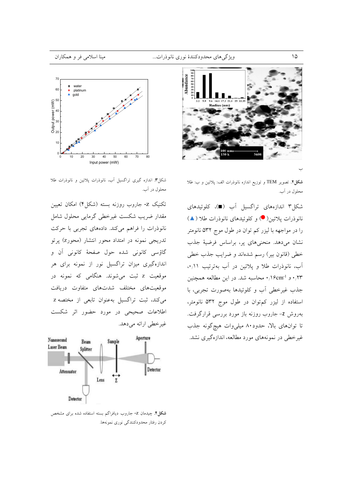

شکل۲. تصویر TEM و توزیع اندازه نانوذرات الف: پلاتین و ب: طلا محلول در آب.

شکل۳ اندازههای تراگسیل آب (■)، کلوئیدهای نانوذرات يلاتين( ●) و كلوئيدهاي نانوذرات طلا (▲) را در مواجهه با ليزر كم توان در طول موج ۵۳۲ نانومتر نشان میدهد. منحنیهای پر، براساس فرضیهٔ جذب خطي (قانون بير) رسم شدهاند و ضرايب جذب خطي آب، نانوذرات طلا و پلاتین در آب بهترتیب ۰٫۱۱. ۰٬۲۳ و ۰٬۲۳ا۰ محاسبه شد. در این مطالعه همچنین جذب غیرخطی آب و کلوئیدها بهصورت تجربی، با استفاده از لیزر کم توان در طول موج ۵۳۲ نانومتر، بهروش Z- جاروب روزنه باز مورد بررسی قرارگرفت. تا توانهای بالا، حدود۸۰ میلی وات هیچگونه جذب غیرخطی در نمونههای مورد مطالعه، اندازهگیری نشد.



شکل۳. اندازه گیری تراگسیل آب، نانوذرات پلاتین و نانوذرات طلا محلول در آب.

تکنیک Z- جاروب روزنه بسته (شکل۴) امکان تعیین مقدار ضريب شكست غيرخطي گرمايي محلول شامل نانوذرات را فراهم میکند. دادههای تجربی با حرکت تدریجی نمونه در امتداد محور انتشار (محورz) پرتو گاؤسي كانوني شده حول صفحهٔ كانوني آن و اندازهگیری میزان تراگسیل نور از نمونه برای هر موقعیت z ثبت میشوند. هنگامی که نمونه در موقعیتهای مختلف شدتهای متفاوت دریافت میکند، ثبت تراگسیل بهعنوان تابعی از مختصه z اطلاعات صحیحی در مورد حضور اثر شکست غير خطي ارائه مي دهد.



**شکل؟**. چیدمان Z- جاروب دیافراگم بسته استفاده شده برای مشخص كردن رفتار محدودكنندگي نوري نمونهها.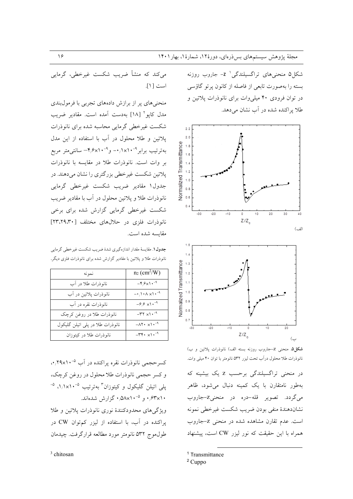شکل۵ منحنیهای تراگسیلندگی<sup>۱</sup> z- جاروب روزنه بسته را بهصورت تابعي از فاصله از كانون پرتو گاؤسي در توان فرودی ۴۰ میلی وات برای نانوذرات پلاتین و طلا براکنده شده در آب نشان می دهد.





شکل۵. منحنی Z–جاروب روزنه بسته الف) نانوذرات پلاتین و ب) نانوذرات طلا محلول درآب تحت ليزر ٥٣٢ نانومتر با توان ۴۰ ميلي وات.

در منحنی تراگسیلندگی برحسب Z یک بیشینه که بهطور نامتقارن با یک کمینه دنبال می شود، ظاهر مي گردد. تصوير قله-دره در منحنيZ-جاروب نشاندهندهٔ منفی بودن ضریب شکست غیرخطی نمونه است. عدم تقارن مشاهده شده در منحنی Z-جاروب همراه با این حقیقت که نور لیزر CW است، پیشنهاد

میکند که منشأ ضریب شکست غیرخطی، گرمایی است [ ١].

منحنی های پر از برازش دادههای تجربی با فرمولبندی مدل کایو آ [۱۸] به دست آمده است. مقادیر ضریب شکست غیر خطی گرمایی محاسبه شده برای نانوذرات پلاتین و طلا محلول در آب با استفاده از این مدل بهترتیب برابر<sup>۹-۱</sup>۰/×۰/۱ و ۹-۰/۶×۴/ سانت<sub>ی</sub>متر مربع بر وات است. نانوذرات طلا در مقایسه با نانوذرات پلاتین شکست غیرخطی بزرگتری را نشان میدهند. در ۔<br>جدول1 مقادیر ضریب شکست غیرخطی گرمایی نانوذرات طلا و پلاتين محلول در آب با مقادير ضريب شکست غیرخطی گرمایی گزارش شده برای برخی نانوذرات فلزى در حلالهاى مختلف [٣٣،٢٩،٣٠] مقايسه شده است.

جدول ۱. مقایسهٔ مقدار اندازهگیری شدهٔ ضریب شکست غیر خطی گرمایی نانوذرات طلا و پلاتین با مقادیر گزارش شده برای نانوذرات فلزی دیگر.

| نمونه                            | $n_2$ (cm <sup>2</sup> /W)                                     |
|----------------------------------|----------------------------------------------------------------|
| نانوذرات طلا در آب               | $-\mathfrak{r}_{1}\mathfrak{s}_{\times}\mathfrak{t}$ . $^{-q}$ |
| نانوذرات پلاتين در آب            | $-\cdot/\cdot \wedge \times \cdot \cdot^{-4}$                  |
| نانوذرات نقره در آب              | $-\frac{\varphi}{\varphi} \times 1 \cdot \frac{-9}{\pi}$       |
| نانوذرات طلا در روغن كرچک        | $-\tau \tau \times 1 \cdot -4$                                 |
| نانوذرات طلا در پلی اتیلن گلیکول | $-\Lambda \Upsilon \cdot \times \Upsilon \cdot$ <sup>-9</sup>  |
| نانوذرات طلا در کیتوزان          | $-\tau + \cdot \times \cdot$ -9                                |

کسرحجمی نانوذرات نقره پراکنده در آب <sup>۵</sup>۴۰/۲۹x۱۰ و کسر حجمی نانوذرات طلا محلول در روغن کرچک، یلی اتیلن گلیکول و کیتوزان<sup>۳</sup> بهترتیب <sup>۵</sup>-۱٫۱×۰٫۱، <sup>۵-</sup> ۰٬۶۳x۱۰ و ۵-۵۸x۱۰<sup>-۵</sup> گزارش شدهاند. ویژگیهای محدودکنندهٔ نوری نانوذرات پلاتین و طلا پراکنده در آب، با استفاده از لیزر کمتوان CW در طول موج ۵۳۲ نانومتر مورد مطالعه قرارگرفت. چیدمان

<sup>3</sup> chitosan

<sup>&</sup>lt;sup>1</sup> Transmittance

<sup>&</sup>lt;sup>2</sup> Cuppo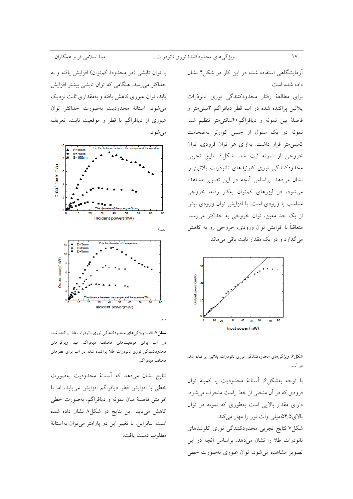آزمایشگاهی استفاده شده در این کار در شکل۴ نشان

برای مطالعهٔ رفتار محدودکنندگی نوری نانوذرات پلاتین پراکنده شده در آب قطر دیافراگم ۳میلی متر و فاصلهٔ بین نمونه و دیافراگم۴۰سانتی متر تنظیم شد. نمونه در یک سلول از جنس کوارتز بهضخامت ۵میلی متر قرار داشت. بهازای هر توان فرودی، توان خروجي از نمونه ثبت شد. شكل۶ نتايج تجربي محدودکنندگی نوری کلوئیدهای نانوذرات پلاتین را نشان می دهد. براساس آنچه در این تصویر مشاهده می شود، در لیزرهای کم توان بهکار رفته، خروجی متناسب با ورودی است. با افزایش توان ورودی بیش از یک حد معین، توان خروجی به حداکثر می رسد. متعاقباً با افزایش توان ورودی، خروجی رو به کاهش میگذارد و در یک مقدار ثابت باقی میماند.



**شکل۶** ویژگیهای محدودکنندگی نوری نانوذرات پلاتین پراکنده شده در آب.

با توجه بهشكل ۶، آستانهٔ محدودیت یا كمینهٔ توان فرودي كه در آن منحني از خط راست منحرف مي شود، دارای مقدار بالایی است بهطوری که نمونه در توان بالای۴٫۵ میلی وات نور را مهار میکند. شکل۷ نتایج تجربی محدودکنندگی نوری کلوئیدهای نانوذرات طلا را نشان میدهد. براساس آنچه در این تصویر مشاهده میشود، توان عبوری بهصورت خطی

با توان تابشی (در محدودهٔ کمتوان) افزایش یافته و به حداکثر میرسد. هنگامی که توان تابشی بیشتر افزایش یابد، توان عبوری کاهش یافته و بهمقداری ثابت نزدیک مي شود. أستانهٔ محدوديت بهصورت حداكثر توان عبوري از ديافراگم با قطر و موقعيت ثابت، تعريف مي شود.



**شكل ٧.** الف: ويژگيهاي محدودكنندگي نوري نانوذرات طلا پراكنده شده در آب برای موقعیتهای مختلف دیافراگم ب: ویژگیهای محدودکنندگی نوری نانوذرات طلا پراکنده شده در آب برای قطرهای مختلف ديافر اگم.

نتايج نشان مى دهد كه آستانهٔ محدوديت بهصورت خطی با افزایش قطر دیافراگم افزایش می یابد، اما با افزایش فاصلهٔ میان نمونه و دیافراگم، بهصورت خطی کاهش مییابد. این نتایج در شکل۸ نشان داده شده است. بنابراین، با تغییر این دو پارامتر می توان بهآستانهٔ مطلوب دست يافت.  $\mathcal{V}$ 

داده شده است.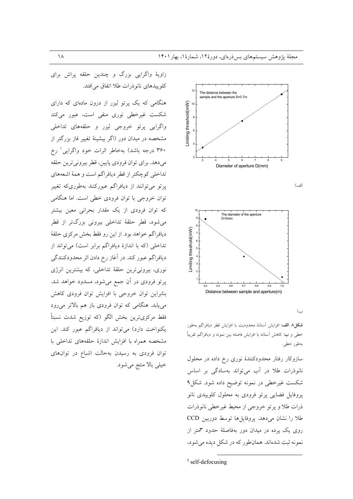زاویهٔ واگرایی بزرگ و چندین حلقه پراش برای کلو پیدهای نانو ذرات طلا اتفاق می افتد.

هنگامی که یک پرتو لیزر از درون مادهای که دارای شکست غیرخطی نوری منفی است، عبور میکند واگرايي پرتو خروجي ليزر و حلقههاي تداخلي مشخصه در میدان دور (اگر بیشینهٔ تغییر فاز بزرگتر از ۳۶۰ درجه باشد) بهخاطر اثرات خود واگرایی رخ مي دهد. براي توان فرودي پايين، قطر بيروني ترين حلقه تداخلي كوچكتر از قطر ديافراگم است و همهٔ اشعههاي پرتو میتوانند از دیافراگم عبورکنند بهطوریکه تغییر توان خروجی با توان فرودی خطی است. اما هنگامی که توان فرودی از یک مقدار بحرانی معین بیشتر میشود، قطر حلقهٔ تداخلی بیرونی بزرگتر از قطر ديافراگم خواهد بود. از اين رو فقط بخش مركزي حلقهٔ .<br>تداخلی (که با اندازهٔ دیافراگم برابر است) میتواند از دیافراگم عبور کند. در آغاز رخ دادن اثر محدودکنندگی نوری، بیرونیترین حلقهٔ تداخلی، که بیشترین انرژی یر تو فرودی در آن جمع می شود، مسدود خواهد شد. بنابراین توان خروجی با افزایش توان فرودی کاهش می یابد. هنگامی که توان فرودی باز هم بالاتر می رود فقط مركزيترين بخش الگو (كه توزيع شدت نسبتاً یکنواخت دارد) میتواند از دیافراگم عبور کند. این مشخصه همراه با افزایش اندازهٔ حلقههای تداخلی با توان فرودی به رسیدن بهحالت اشباع در توانهای خيلي بالا منتج مي شود.







 $\subset$ 

**شكل A الف:** افزايش آستانة محدوديت با افزايش قطر ديافراگم بهطور خطی و ب: کاهش اَستانه با افزایش فاصله بین نمونه و دیافراگم تقریباً بەطور خطى.

سازوکار رفتار محدودکنندهٔ نوری رخ داده در محلول نانوذرات طلا در آب میتواند بهسادگی بر اساس شکست غیرخطی در نمونه توضیح داده شود. شکل۹ پروفایل فضایی پرتو فرودی به محلول کلوییدی نانو ذرات طلا و پرتو خروجي از محيط غيرخطي نانوذرات طلا را نشان می دهد. پروفایل ها توسط دوربین CCD روی یک پرده در میدان دور بهفاصلهٔ حدود ۳متر از نمونه ثبت شدهاند. همان طور که در شکل دیده می شود،

 $1$  self-defocusing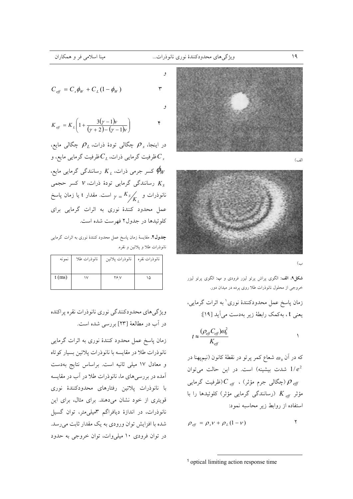$\mathsf{r}$ 

 $\mathbf{r}$ 





**شکل؟. الف**: الگوی پراش پرتو لیزر فرودی و ب: الگوی پرتو لیزر خروجی از محلول نانوذرات طلا روی پرده در میدان دور.

زمان پاسخ عمل محدودکنندهٔ نوری ٰ به اثرات گرمایی، يعني t ، بهكمك رابطة زير بهدست مي أيد [١٩]:

$$
t \approx \frac{(\rho_{\text{eff}} C_{\text{eff}}) \alpha_0^2}{K_{\text{eff}}}
$$

که در آن  $\omega_{\scriptscriptstyle 0}$  شعاع کمر پرتو در نقطهٔ کانون (نیمپهنا در شدت بیشینه) است. در این حالت میتوان  $1/e^2$ جگالی جرم مؤثر) ،  $C_{\mathit{eff}}$ (ظرفیت گرمایی) ( $\rho_{\mathit{eff}}$ مؤثر  $\overline{K}_{\textit{eff}}$  (رسانندگی گرمایی مؤثر) کلوئیدها را با استفاده از روابط زیر محاسبه نمود:

$$
\rho_{\text{eff}} = \rho_{s} v + \rho_{L} (1 - v)
$$

$$
^1
$$
 optical limiting action response time

 $C_{\text{eff}} = C_{\text{s}} \phi_W + C_I (1 - \phi_W)$ 

$$
K_{\text{eff}} = K_{L} \left( 1 + \frac{3(y-1)v}{(y+2) - (y-1)v} \right)
$$

در اینجا، چگرالی تودهٔ ذرات،  $\rho_{_L}$  چگالی مایع، ظرفیت گرمایی ذرات،  $C_{\scriptscriptstyle L}$ ظرفیت گرمایی مایع، و  $C_{\scriptscriptstyle s}$ کسر جرمی ذرات،  $K_{_L}$  رسانندگی گرمایی مایع،  $\phi_{_W}$ رسانندگی گرمایی تودهٔ ذرات، ۷ کسر حجمی  $K_{\overline{s}}$ نانوذرات و  $K_{S} \diagup K_{S}$  =  $\gamma$  است. مقدار t یا زمان پاسخ عمل محدود کنندهٔ نوری به اثرات گرمایی برای کلوئیدها در جدول۲ فهرست شده است.

جدول۲. مقايسهٔ زمان ياسخ عمل محدود كنندهٔ نوری به اثرات گرمايبی نانوذرات طلا و پلاتين و نقره.

| نمونه    | نانوذرات طلا | نانوذرات يلاتين     | نانوذرات نقره |
|----------|--------------|---------------------|---------------|
|          |              |                     |               |
| $t$ (ms) | ١v           | $Y \in \mathcal{N}$ | ۱۵            |
|          |              |                     |               |

ویژگیهای محدودکنندگی نوری نانوذرات نقره پراکنده در آب در مطالعهٔ [۲۳] بررسی شده است.

زمان پاسخ عمل محدود کنندهٔ نوری به اثرات گرمایی نانوذرات طلا در مقايسه با نانوذرات پلاتين بسيار كوتاه و معادل ١٧ ميلي ثانيه است. براساس نتايج بهدست أمده در بررسیهای ما، نانوذرات طلا در آب در مقایسه با نانوذرات پلاتین رفتارهای محدودکنندهٔ نوری قویتری از خود نشان میدهند. برای مثال، برای این نانوذرات، در اندازهٔ دیافراگم ۳میلی متر، توان گسیل شده با افزایش توان ورودی به یک مقدار ثابت میرسد. در توان فرودی ۱۰ میلی وات، توان خروجی به حدود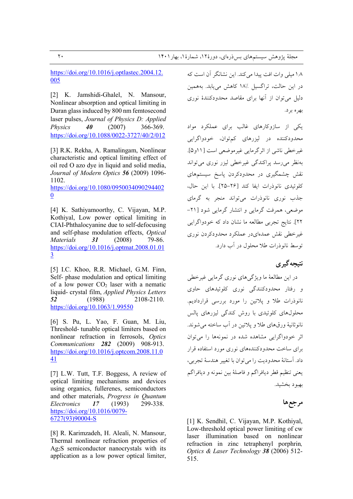https://doi.org/10.1016/j.optlastec.2004.12. 005

[2] K. Jamshidi-Ghalel, N. Mansour, Nonlinear absorption and optical limiting in Duran glass induced by 800 nm femtosecond laser pulses, Journal of Physics D: Applied **Physics** 40  $(2007)$ 366-369. https://doi.org/10.1088/0022-3727/40/2/012

[3] R.K. Rekha, A. Ramalingam, Nonlinear characteristic and optical limiting effect of oil red O azo dye in liquid and solid media, Journal of Modern Optics 56 (2009) 1096-1102.

https://doi.org/10.1080/0950034090294402  $\mathbf{0}$ 

[4] K. Sathiyamoorthy, C. Vijayan, M.P. Kothiyal, Low power optical limiting in CIAI-Phthalocyanine due to self-defocusing and self-phase modulation effects, Optical **Materials** 31  $(2008)$ 79-86. https://doi.org/10.1016/j.optmat.2008.01.01  $\overline{3}$ 

[5] I.C. Khoo, R.R. Michael, G.M. Finn, Self- phase modulation and optical limiting of a low power  $CO<sub>2</sub>$  laser with a nematic liquid-crystal film, Applied Physics Letters 52  $(1988)$ 2108-2110.  $\frac{https://doi.org/10.1063/1.99550}{https://doi.org/10.1063/1.99550}$ 

[6] S. Pu, L. Yao, F. Guan, M. Liu, Threshold-tunable optical limiters based on nonlinear refraction in ferrosols, Optics Communications 282 (2009) 908-913. https://doi.org/10.1016/j.optcom.2008.11.0 41

[7] L.W. Tutt, T.F. Boggess, A review of optical limiting mechanisms and devices using organics, fullerenes, semiconductors and other materials, Progress in Quantum 299-338. Electronics 17  $(1993)$ https://doi.org/10.1016/0079-6727(93)90004-S

[8] R. Karimzadeh, H. Aleali, N. Mansour, Thermal nonlinear refraction properties of Ag<sub>2</sub>S semiconductor nanocrystals with its application as a low power optical limiter,

١٫٨ ميلي وات افت ييدا مي كند. اين نشانگر آن است كه در این حالت، تراگسیل ۱۸٪ کاهش می یابد. بههمین دلیل می توان از آنها برای مقاصد محدودکنندهٔ نوری بهره برد.

یکی از سازوکارهای غالب برای عملکرد مواد محدودکننده در لیزرهای کمتوان، خودواگرایی غيرخطي ناشي از اثرگرمايي غيرموضعي است [١١و۵]. بهنظر می رسد پراکندگی غیرخطی لیزر نوری می تواند نقش چشمگیری در محدودکردن پاسخ سیستمهای كلوئيدي نانوذرات ايفا كند [٢۶-٢۵]. يا اين حال، جذب نوری نانوذرات می تواند منجر به گرمای موضعی، همرفت گرمایی و انتشار گرمایی شود [۲۱-٢٢]. نتايج تجربي مطالعه ما نشان داد كه خودواگرايي غیرخطی نقش عمدهای در عملکرد محدودکردن نوری توسط نانوذرات طلا محلول در آب دارد.

## نتىحەگىرى

در این مطالعهٔ ما ویژگے های نوری گرمایی غیرخطی و رفتار محدودکنندگی نوری کلوئیدهای حاوی نانوذرات طلا و پلاتین را مورد بررسی قراردادیم. محلولهای کلوئیدی با روش کندگی لیزرهای پالس نانوثانيهٔ ورقهاي طلا و يلاتين در أب ساخته مي شوند. اثر خودواگرایی مشاهده شده در نمونهها را می توان برای ساخت محدودکنندههای نوری مورد استفاده قرار داد. آستانهٔ محدودیت را می توان با تغییر هندسهٔ تجربی، يعني تنظيم قطر ديافراگم و فاصلهٔ بين نمونه و ديافراگم بهبود بخشيد.

# مرجعها

[1] K. Sendhil, C. Vijayan, M.P. Kothiyal, Low-threshold optical power limiting of cw laser illumination based on nonlinear refraction in zinc tetraphenyl porphrin, Optics & Laser Technology 38 (2006) 512-515.

 $\overline{y}$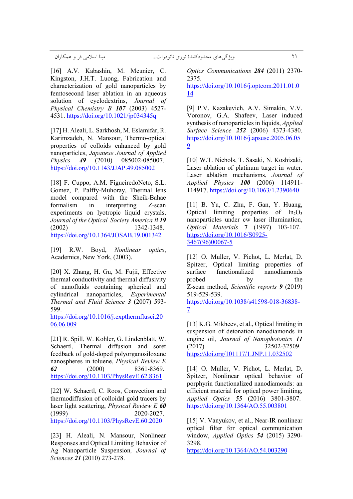[16] A.V. Kabashin, M. Meunier, C. Kingston, J.H.T. Luong, Fabrication and characterization of gold nanoparticles by femtosecond laser ablation in an aqueous solution of cyclodextrins, *Journal of Physical Chemistry B 107* (2003) 4527- 4531. https://doi.org/10.1021/jp034345q

[17] H. Aleali, L. Sarkhosh, M. Eslamifar, R. Karimzadeh, N. Mansour, Thermo-optical properties of colloids enhanced by gold nanoparticles, *Japanese Journal of Applied Physics 49* (2010) 085002-085007. https://doi.org/10.1143/JJAP.49.085002

[18] F. Cuppo, A.M. FigueiredoNeto, S.L. Gomez, P. Palffy-Muhoray, Thermal lens model compared with the Sheik-Bahae formalism in interpreting Z-scan experiments on lyotropic liquid crystals, *Journal of the Optical Society America B 19* (2002) 1342-1348. https://doi.org/10.1364/JOSAB.19.001342

[19] R.W. Boyd, *Nonlinear optics*, Academics, New York, (2003).

[20] X. Zhang, H. Gu, M. Fujii, Effective thermal conductivity and thermal diffusivity of nanofluids containing spherical and cylindrical nanoparticles, *Experimental Thermal and Fluid Science 3* (2007) 593- 599.

https://doi.org/10.1016/j.expthermflusci.20 06.06.009

[21] R. Spill, W. Kohler, G. Lindenblatt, W. Schaertl, Thermal diffusion and soret feedback of gold-doped polyorganosiloxane nanospheres in toluene, *Physical Review E 62* (2000) 8361-8369. https://doi.org/10.1103/PhysRevE.62.8361

[22] W. Schaertl, C. Roos, Convection and thermodiffusion of colloidal gold tracers by laser light scattering, *Physical Review E 60* (1999) 2020-2027. https://doi.org/10.1103/PhysRevE.60.2020

[23] H. Aleali, N. Mansour, Nonlinear Responses and Optical Limiting Behavior of Ag Nanoparticle Suspension*, Journal of Sciences 21* (2010) 273-278.

*Optics Communications 284* (2011) 2370- 2375. https://doi.org/10.1016/j.optcom.2011.01.0 14

[9] P.V. Kazakevich, A.V. Simakin, V.V. Voronov, G.A. Shafeev, Laser induced synthesis of nanoparticles in liquids, *Applied Surface Science 252* (2006) 4373-4380. https://doi.org/10.1016/j.apsusc.2005.06.05 9

[10] W.T. Nichols, T. Sasaki, N. Koshizaki, Laser ablation of platinum target in water. Laser ablation mechanisms, *Journal of Applied Physics 100* (2006) 114911- 114917. https://doi.org/10.1063/1.2390640

[11] B. Yu, C. Zhu, F. Gan, Y. Huang, Optical limiting properties of  $In<sub>2</sub>O<sub>3</sub>$ nanoparticles under cw laser illumination, *Optical Materials* **7** (1997) 103-107. https://doi.org/10.1016/S0925- 3467(96)00067-5

[12] O. Muller, V. Pichot, L. Merlat, D. Spitzer, Optical limiting properties of surface functionalized nanodiamonds probed by the Z-scan method, *Scientific reports 9* (2019) 519-529-539.

https://doi.org/10.1038/s41598-018-36838- 7

[13] K.G. Mikheev, et al., Optical limiting in suspension of detonation nanodiamonds in engine oil*, Journal of Nanophotonics 11* (2017) 32502-32509. https://doi.org/101117/1.JNP.11.032502

[14] O. Muller, V. Pichot, L. Merlat, D. Spitzer, Nonlinear optical behavior of porphyrin functionalized nanodiamonds: an efficient material for optical power limiting, *Applied Optics 55* (2016) 3801-3807. https://doi.org/10.1364/AO.55.003801

[15] V. Vanyukov, et al., Near-IR nonlinear optical filter for optical communication window, *Applied Optics 54* (2015) 3290- 3298.

https://doi.org/10.1364/AO.54.003290